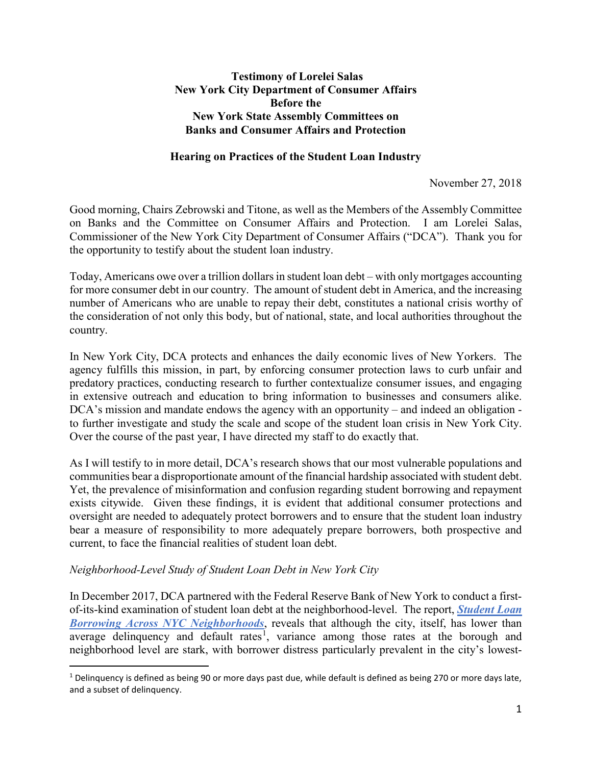## **Testimony of Lorelei Salas New York City Department of Consumer Affairs Before the New York State Assembly Committees on Banks and Consumer Affairs and Protection**

## **Hearing on Practices of the Student Loan Industry**

November 27, 2018

Good morning, Chairs Zebrowski and Titone, as well as the Members of the Assembly Committee on Banks and the Committee on Consumer Affairs and Protection. I am Lorelei Salas, Commissioner of the New York City Department of Consumer Affairs ("DCA"). Thank you for the opportunity to testify about the student loan industry.

Today, Americans owe over a trillion dollars in student loan debt – with only mortgages accounting for more consumer debt in our country. The amount of student debt in America, and the increasing number of Americans who are unable to repay their debt, constitutes a national crisis worthy of the consideration of not only this body, but of national, state, and local authorities throughout the country.

In New York City, DCA protects and enhances the daily economic lives of New Yorkers. The agency fulfills this mission, in part, by enforcing consumer protection laws to curb unfair and predatory practices, conducting research to further contextualize consumer issues, and engaging in extensive outreach and education to bring information to businesses and consumers alike. DCA's mission and mandate endows the agency with an opportunity – and indeed an obligation to further investigate and study the scale and scope of the student loan crisis in New York City. Over the course of the past year, I have directed my staff to do exactly that.

As I will testify to in more detail, DCA's research shows that our most vulnerable populations and communities bear a disproportionate amount of the financial hardship associated with student debt. Yet, the prevalence of misinformation and confusion regarding student borrowing and repayment exists citywide. Given these findings, it is evident that additional consumer protections and oversight are needed to adequately protect borrowers and to ensure that the student loan industry bear a measure of responsibility to more adequately prepare borrowers, both prospective and current, to face the financial realities of student loan debt.

#### *Neighborhood-Level Study of Student Loan Debt in New York City*

In December 2017, DCA partnered with the Federal Reserve Bank of New York to conduct a firstof-its-kind examination of student loan debt at the neighborhood-level. The report, *[Student Loan](https://www.newyorkfed.org/medialibrary/media/outreach-and-education/community-development/credit-conditions/student-loan-borrowing-nyc-neighborhoods.pdf)  [Borrowing Across NYC Neighborhoods](https://www.newyorkfed.org/medialibrary/media/outreach-and-education/community-development/credit-conditions/student-loan-borrowing-nyc-neighborhoods.pdf)*, reveals that although the city, itself, has lower than average delinquency and default rates<sup>[1](#page-0-0)</sup>, variance among those rates at the borough and neighborhood level are stark, with borrower distress particularly prevalent in the city's lowest-

<span id="page-0-0"></span> $1$  Delinquency is defined as being 90 or more days past due, while default is defined as being 270 or more days late, and a subset of delinquency.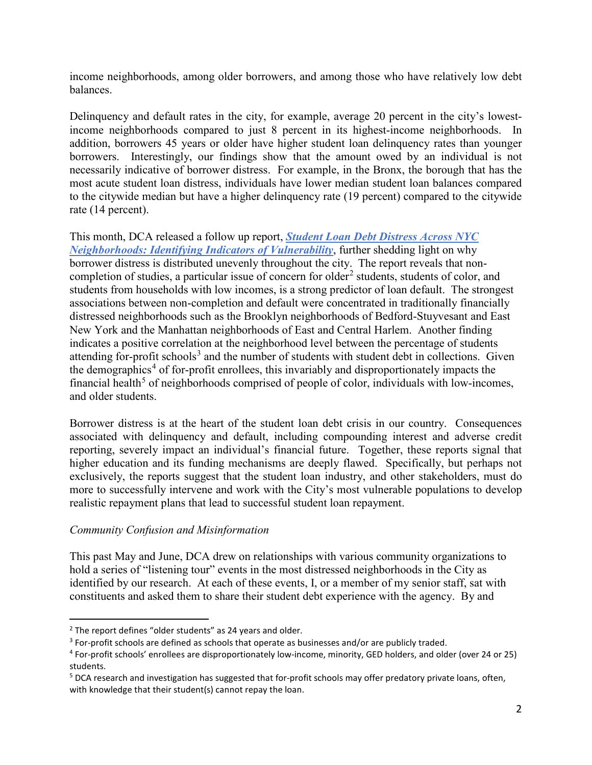income neighborhoods, among older borrowers, and among those who have relatively low debt balances.

Delinquency and default rates in the city, for example, average 20 percent in the city's lowestincome neighborhoods compared to just 8 percent in its highest-income neighborhoods. In addition, borrowers 45 years or older have higher student loan delinquency rates than younger borrowers. Interestingly, our findings show that the amount owed by an individual is not necessarily indicative of borrower distress. For example, in the Bronx, the borough that has the most acute student loan distress, individuals have lower median student loan balances compared to the citywide median but have a higher delinquency rate (19 percent) compared to the citywide rate (14 percent).

This month, DCA released a follow up report, *[Student Loan Debt Distress Across NYC](https://www1.nyc.gov/assets/dca/downloads/pdf/partners/Research-StudentLoanDebtDistressAcrossNYCNeighborhoods.pdf)  [Neighborhoods: Identifying Indicators of Vulnerability](https://www1.nyc.gov/assets/dca/downloads/pdf/partners/Research-StudentLoanDebtDistressAcrossNYCNeighborhoods.pdf)*, further shedding light on why borrower distress is distributed unevenly throughout the city. The report reveals that non-completion of studies, a particular issue of concern for older<sup>[2](#page-1-0)</sup> students, students of color, and students from households with low incomes, is a strong predictor of loan default. The strongest associations between non-completion and default were concentrated in traditionally financially distressed neighborhoods such as the Brooklyn neighborhoods of Bedford-Stuyvesant and East New York and the Manhattan neighborhoods of East and Central Harlem. Another finding indicates a positive correlation at the neighborhood level between the percentage of students attending for-profit schools<sup>[3](#page-1-1)</sup> and the number of students with student debt in collections. Given the demographics<sup>[4](#page-1-2)</sup> of for-profit enrollees, this invariably and disproportionately impacts the financial health<sup>[5](#page-1-3)</sup> of neighborhoods comprised of people of color, individuals with low-incomes, and older students.

Borrower distress is at the heart of the student loan debt crisis in our country. Consequences associated with delinquency and default, including compounding interest and adverse credit reporting, severely impact an individual's financial future. Together, these reports signal that higher education and its funding mechanisms are deeply flawed. Specifically, but perhaps not exclusively, the reports suggest that the student loan industry, and other stakeholders, must do more to successfully intervene and work with the City's most vulnerable populations to develop realistic repayment plans that lead to successful student loan repayment.

#### *Community Confusion and Misinformation*

This past May and June, DCA drew on relationships with various community organizations to hold a series of "listening tour" events in the most distressed neighborhoods in the City as identified by our research. At each of these events, I, or a member of my senior staff, sat with constituents and asked them to share their student debt experience with the agency. By and

<span id="page-1-0"></span> $2$  The report defines "older students" as 24 years and older.

<span id="page-1-1"></span><sup>&</sup>lt;sup>3</sup> For-profit schools are defined as schools that operate as businesses and/or are publicly traded.

<span id="page-1-2"></span><sup>4</sup> For-profit schools' enrollees are disproportionately low-income, minority, GED holders, and older (over 24 or 25) students.

<span id="page-1-3"></span><sup>&</sup>lt;sup>5</sup> DCA research and investigation has suggested that for-profit schools may offer predatory private loans, often, with knowledge that their student(s) cannot repay the loan.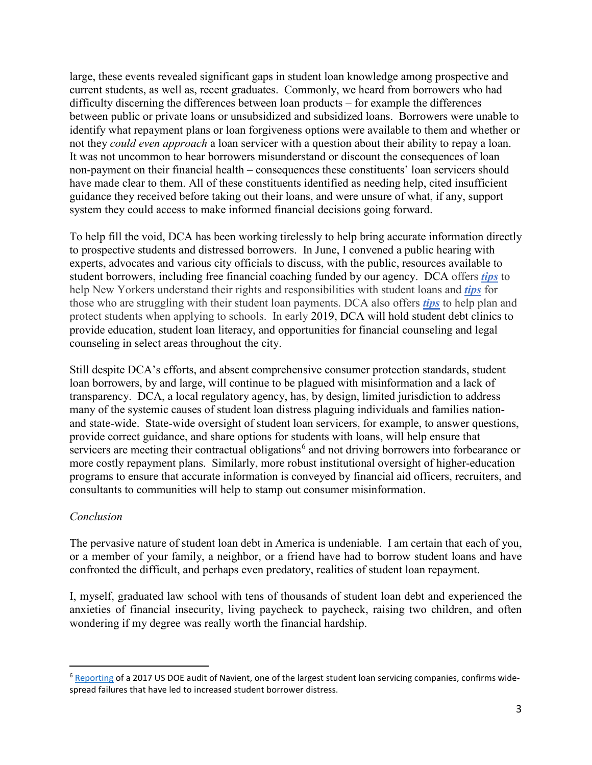large, these events revealed significant gaps in student loan knowledge among prospective and current students, as well as, recent graduates. Commonly, we heard from borrowers who had difficulty discerning the differences between loan products – for example the differences between public or private loans or unsubsidized and subsidized loans. Borrowers were unable to identify what repayment plans or loan forgiveness options were available to them and whether or not they *could even approach* a loan servicer with a question about their ability to repay a loan. It was not uncommon to hear borrowers misunderstand or discount the consequences of loan non-payment on their financial health – consequences these constituents' loan servicers should have made clear to them. All of these constituents identified as needing help, cited insufficient guidance they received before taking out their loans, and were unsure of what, if any, support system they could access to make informed financial decisions going forward.

To help fill the void, DCA has been working tirelessly to help bring accurate information directly to prospective students and distressed borrowers. In June, I convened a public hearing with experts, advocates and various city officials to discuss, with the public, resources available to student borrowers, including free financial coaching funded by our agency. DCA offers *[tips](https://www1.nyc.gov/assets/dca/downloads/pdf/consumers/Tips-StudentLoans.pdf)* to help New Yorkers understand their rights and responsibilities with student loans and *[tips](https://www1.nyc.gov/assets/dca/downloads/pdf/consumers/QuickTips-StudentLoans.pdf)* for those who are struggling with their student loan payments. DCA also offers *[tips](https://www1.nyc.gov/site/dca/consumers/know-before-you-enroll.page)* to help plan and protect students when applying to schools. In early 2019, DCA will hold student debt clinics to provide education, student loan literacy, and opportunities for financial counseling and legal counseling in select areas throughout the city.

Still despite DCA's efforts, and absent comprehensive consumer protection standards, student loan borrowers, by and large, will continue to be plagued with misinformation and a lack of transparency. DCA, a local regulatory agency, has, by design, limited jurisdiction to address many of the systemic causes of student loan distress plaguing individuals and families nationand state-wide. State-wide oversight of student loan servicers, for example, to answer questions, provide correct guidance, and share options for students with loans, will help ensure that servicers are meeting their contractual obligations<sup>[6](#page-2-0)</sup> and not driving borrowers into forbearance or more costly repayment plans. Similarly, more robust institutional oversight of higher-education programs to ensure that accurate information is conveyed by financial aid officers, recruiters, and consultants to communities will help to stamp out consumer misinformation.

# *Conclusion*

The pervasive nature of student loan debt in America is undeniable. I am certain that each of you, or a member of your family, a neighbor, or a friend have had to borrow student loans and have confronted the difficult, and perhaps even predatory, realities of student loan repayment.

I, myself, graduated law school with tens of thousands of student loan debt and experienced the anxieties of financial insecurity, living paycheck to paycheck, raising two children, and often wondering if my degree was really worth the financial hardship.

<span id="page-2-0"></span><sup>&</sup>lt;sup>6</sup> [Reporting](https://www.apnews.com/eeebf667026a420c9893220215e542cb) of a 2017 US DOE audit of Navient, one of the largest student loan servicing companies, confirms widespread failures that have led to increased student borrower distress.